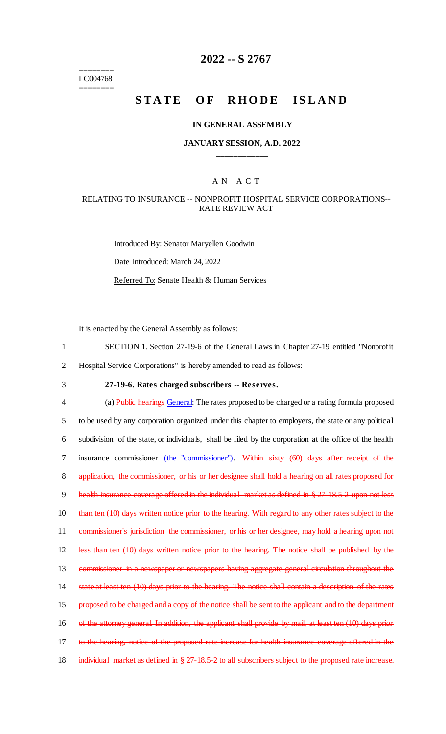======== LC004768 ========

## **2022 -- S 2767**

# **STATE OF RHODE ISLAND**

#### **IN GENERAL ASSEMBLY**

#### **JANUARY SESSION, A.D. 2022 \_\_\_\_\_\_\_\_\_\_\_\_**

### A N A C T

#### RELATING TO INSURANCE -- NONPROFIT HOSPITAL SERVICE CORPORATIONS-- RATE REVIEW ACT

Introduced By: Senator Maryellen Goodwin Date Introduced: March 24, 2022 Referred To: Senate Health & Human Services

It is enacted by the General Assembly as follows:

- 1 SECTION 1. Section 27-19-6 of the General Laws in Chapter 27-19 entitled "Nonprofit
- 2 Hospital Service Corporations" is hereby amended to read as follows:
- 

# 3 **27-19-6. Rates charged subscribers -- Reserves.**

4 (a) Public hearings General: The rates proposed to be charged or a rating formula proposed 5 to be used by any corporation organized under this chapter to employers, the state or any political 6 subdivision of the state, or individuals, shall be filed by the corporation at the office of the health 7 insurance commissioner (the "commissioner"). Within sixty (60) days after receipt of the 8 application, the commissioner, or his or her designee shall hold a hearing on all rates proposed for 9 health insurance coverage offered in the individual market as defined in § 27-18.5-2 upon not less 10 than ten (10) days written notice prior to the hearing. With regard to any other rates subject to the 11 commissioner's jurisdiction the commissioner, or his or her designee, may hold a hearing upon not 12 less than ten (10) days written notice prior to the hearing. The notice shall be published by the 13 commissioner in a newspaper or newspapers having aggregate general circulation throughout the 14 state at least ten (10) days prior to the hearing. The notice shall contain a description of the rates 15 proposed to be charged and a copy of the notice shall be sent to the applicant and to the department 16 of the attorney general. In addition, the applicant shall provide by mail, at least ten (10) days prior-17 to the hearing, notice of the proposed rate increase for health insurance coverage offered in the 18 individual market as defined in § 27-18.5-2 to all subscribers subject to the proposed rate increase.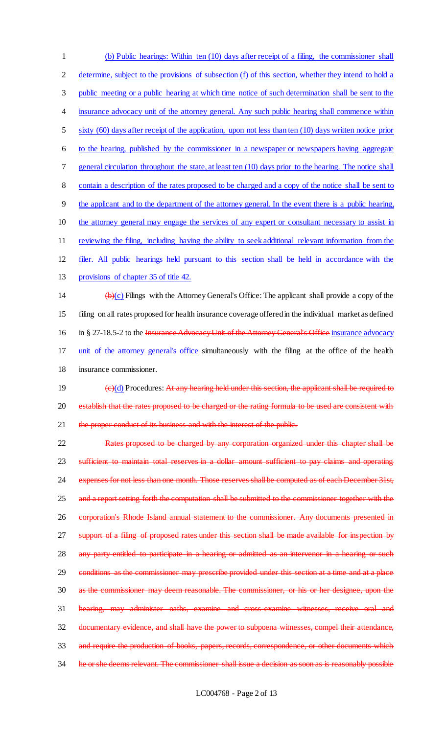(b) Public hearings: Within ten (10) days after receipt of a filing, the commissioner shall 2 determine, subject to the provisions of subsection (f) of this section, whether they intend to hold a public meeting or a public hearing at which time notice of such determination shall be sent to the 4 insurance advocacy unit of the attorney general. Any such public hearing shall commence within sixty (60) days after receipt of the application, upon not less than ten (10) days written notice prior to the hearing, published by the commissioner in a newspaper or newspapers having aggregate general circulation throughout the state, at least ten (10) days prior to the hearing. The notice shall contain a description of the rates proposed to be charged and a copy of the notice shall be sent to the applicant and to the department of the attorney general. In the event there is a public hearing, 10 the attorney general may engage the services of any expert or consultant necessary to assist in reviewing the filing, including having the ability to seek additional relevant information from the filer. All public hearings held pursuant to this section shall be held in accordance with the provisions of chapter 35 of title 42.  $(b)(c)$  Filings with the Attorney General's Office: The applicant shall provide a copy of the filing on all rates proposed for health insurance coverage offered in the individual market as defined 16 in § 27-18.5-2 to the Insurance Advocacy Unit of the Attorney General's Office insurance advocacy 17 unit of the attorney general's office simultaneously with the filing at the office of the health insurance commissioner.  $\left(\frac{e}{d}\right)$  Procedures: At any hearing held under this section, the applicant shall be required to 20 establish that the rates proposed to be charged or the rating formula to be used are consistent with 21 the proper conduct of its business and with the interest of the public. Rates proposed to be charged by any corporation organized under this chapter shall be sufficient to maintain total reserves in a dollar amount sufficient to pay claims and operating expenses for not less than one month. Those reserves shall be computed as of each December 31st, 25 and a report setting forth the computation shall be submitted to the commissioner together with the corporation's Rhode Island annual statement to the commissioner. Any documents presented in 27 support of a filing of proposed rates under this section shall be made available for inspection by 28 any party entitled to participate in a hearing or admitted as an intervenor in a hearing or such 29 conditions as the commissioner may prescribe provided under this section at a time and at a place as the commissioner may deem reasonable. The commissioner, or his or her designee, upon the hearing, may administer oaths, examine and cross-examine witnesses, receive oral and documentary evidence, and shall have the power to subpoena witnesses, compel their attendance,

33 and require the production of books, papers, records, correspondence, or other documents which

34 he or she deems relevant. The commissioner shall issue a decision as soon as is reasonably possible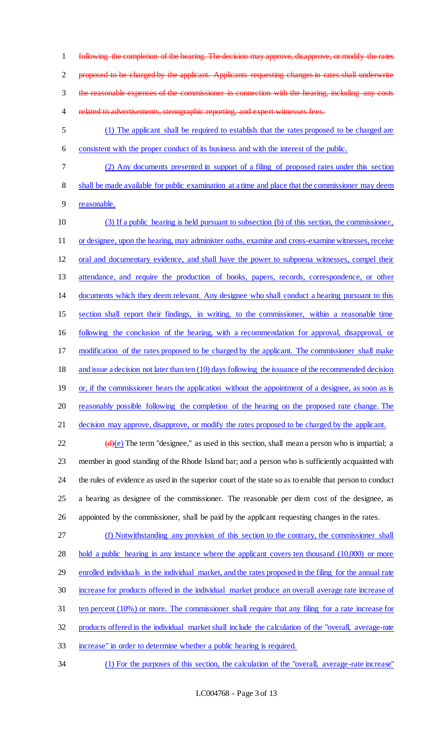following the completion of the hearing. The decision may approve, disapprove, or modify the rates proposed to be charged by the applicant. Applicants requesting changes in rates shall underwrite the reasonable expenses of the commissioner in connection with the hearing, including any costs 4 related to advertisements, stenographic reporting, and expert witnesses fees.

- (1) The applicant shall be required to establish that the rates proposed to be charged are consistent with the proper conduct of its business and with the interest of the public.
- (2) Any documents presented in support of a filing of proposed rates under this section shall be made available for public examination at a time and place that the commissioner may deem
- reasonable.

 (3) If a public hearing is held pursuant to subsection (b) of this section, the commissioner, 11 or designee, upon the hearing, may administer oaths, examine and cross-examine witnesses, receive oral and documentary evidence, and shall have the power to subpoena witnesses, compel their attendance, and require the production of books, papers, records, correspondence, or other documents which they deem relevant. Any designee who shall conduct a hearing pursuant to this section shall report their findings, in writing, to the commissioner, within a reasonable time following the conclusion of the hearing, with a recommendation for approval, disapproval, or modification of the rates proposed to be charged by the applicant. The commissioner shall make and issue a decision not later than ten (10) days following the issuance of the recommended decision 19 or, if the commissioner hears the application without the appointment of a designee, as soon as is reasonably possible following the completion of the hearing on the proposed rate change. The 21 decision may approve, disapprove, or modify the rates proposed to be charged by the applicant.

 $(d)(e)$  The term "designee," as used in this section, shall mean a person who is impartial; a member in good standing of the Rhode Island bar; and a person who is sufficiently acquainted with the rules of evidence as used in the superior court of the state so as to enable that person to conduct a hearing as designee of the commissioner. The reasonable per diem cost of the designee, as appointed by the commissioner, shall be paid by the applicant requesting changes in the rates.

 (f) Notwithstanding any provision of this section to the contrary, the commissioner shall 28 hold a public hearing in any instance where the applicant covers ten thousand (10,000) or more 29 enrolled individuals in the individual market, and the rates proposed in the filing for the annual rate increase for products offered in the individual market produce an overall average rate increase of ten percent (10%) or more. The commissioner shall require that any filing for a rate increase for products offered in the individual market shall include the calculation of the "overall, average-rate increase" in order to determine whether a public hearing is required.

(1) For the purposes of this section, the calculation of the "overall, average-rate increase"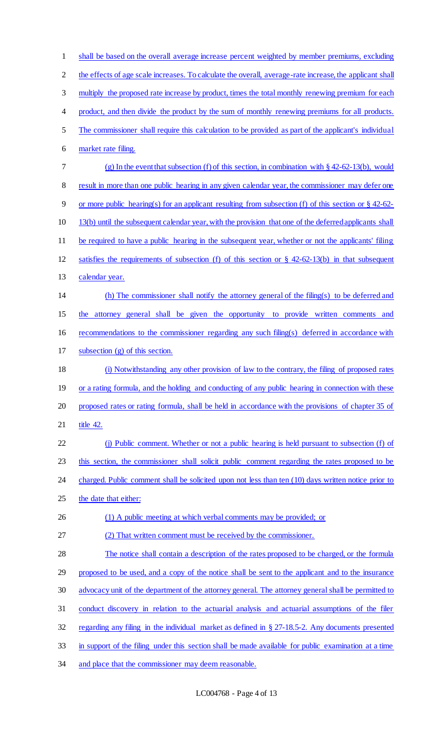shall be based on the overall average increase percent weighted by member premiums, excluding 2 the effects of age scale increases. To calculate the overall, average-rate increase, the applicant shall 3 multiply the proposed rate increase by product, times the total monthly renewing premium for each 4 product, and then divide the product by the sum of monthly renewing premiums for all products. The commissioner shall require this calculation to be provided as part of the applicant's individual market rate filing. (g) In the event that subsection (f) of this section, in combination with § 42-62-13(b), would 8 result in more than one public hearing in any given calendar year, the commissioner may defer one or more public hearing(s) for an applicant resulting from subsection (f) of this section or § 42-62- 10 13(b) until the subsequent calendar year, with the provision that one of the deferred applicants shall be required to have a public hearing in the subsequent year, whether or not the applicants' filing satisfies the requirements of subsection (f) of this section or § 42-62-13(b) in that subsequent calendar year. (h) The commissioner shall notify the attorney general of the filing(s) to be deferred and the attorney general shall be given the opportunity to provide written comments and recommendations to the commissioner regarding any such filing(s) deferred in accordance with subsection (g) of this section. (i) Notwithstanding any other provision of law to the contrary, the filing of proposed rates 19 or a rating formula, and the holding and conducting of any public hearing in connection with these proposed rates or rating formula, shall be held in accordance with the provisions of chapter 35 of 21 title 42. (j) Public comment. Whether or not a public hearing is held pursuant to subsection (f) of 23 this section, the commissioner shall solicit public comment regarding the rates proposed to be 24 charged. Public comment shall be solicited upon not less than ten (10) days written notice prior to the date that either: 26 (1) A public meeting at which verbal comments may be provided; or (2) That written comment must be received by the commissioner. The notice shall contain a description of the rates proposed to be charged, or the formula proposed to be used, and a copy of the notice shall be sent to the applicant and to the insurance advocacy unit of the department of the attorney general. The attorney general shall be permitted to conduct discovery in relation to the actuarial analysis and actuarial assumptions of the filer regarding any filing in the individual market as defined in § 27-18.5-2. Any documents presented in support of the filing under this section shall be made available for public examination at a time 34 and place that the commissioner may deem reasonable.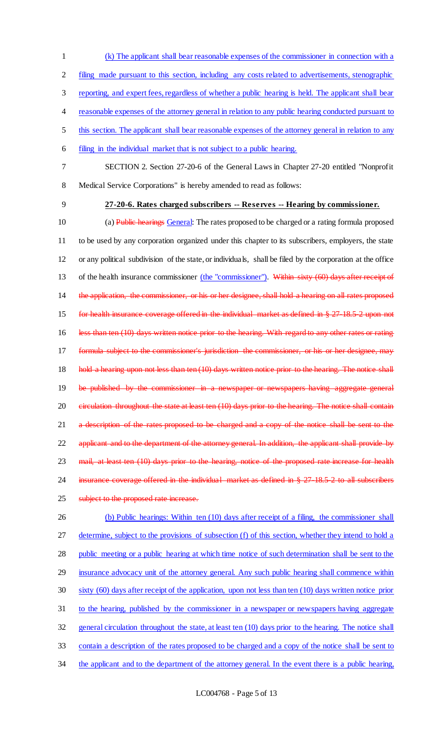1 (k) The applicant shall bear reasonable expenses of the commissioner in connection with a

2 filing made pursuant to this section, including any costs related to advertisements, stenographic

3 reporting, and expert fees, regardless of whether a public hearing is held. The applicant shall bear

- 4 reasonable expenses of the attorney general in relation to any public hearing conducted pursuant to
- 5 this section. The applicant shall bear reasonable expenses of the attorney general in relation to any
- 6 filing in the individual market that is not subject to a public hearing.
- 7 SECTION 2. Section 27-20-6 of the General Laws in Chapter 27-20 entitled "Nonprofit
- 8 Medical Service Corporations" is hereby amended to read as follows:
- 

### 9 **27-20-6. Rates charged subscribers -- Reserves -- Hearing by commissioner.**

10 (a) Public hearings General: The rates proposed to be charged or a rating formula proposed 11 to be used by any corporation organized under this chapter to its subscribers, employers, the state 12 or any political subdivision of the state, or individuals, shall be filed by the corporation at the office 13 of the health insurance commissioner (the "commissioner"). Within sixty (60) days after receipt of 14 the application, the commissioner, or his or her designee, shall hold a hearing on all rates proposed 15 for health insurance coverage offered in the individual market as defined in § 27-18.5-2 upon not 16 less than ten (10) days written notice prior to the hearing. With regard to any other rates or rating 17 formula subject to the commissioner's jurisdiction the commissioner, or his or her designee, may 18 hold a hearing upon not less than ten (10) days written notice prior to the hearing. The notice shall 19 be published by the commissioner in a newspaper or newspapers having aggregate general 20 eirculation throughout the state at least ten (10) days prior to the hearing. The notice shall contain 21 a description of the rates proposed to be charged and a copy of the notice shall be sent to the 22 applicant and to the department of the attorney general. In addition, the applicant shall provide by 23 mail, at least ten (10) days prior to the hearing, notice of the proposed rate increase for health 24 insurance coverage offered in the individual market as defined in § 27 18.5 2 to all subscribers 25 subject to the proposed rate increase.

26 (b) Public hearings: Within ten (10) days after receipt of a filing, the commissioner shall 27 determine, subject to the provisions of subsection (f) of this section, whether they intend to hold a public meeting or a public hearing at which time notice of such determination shall be sent to the insurance advocacy unit of the attorney general. Any such public hearing shall commence within sixty (60) days after receipt of the application, upon not less than ten (10) days written notice prior to the hearing, published by the commissioner in a newspaper or newspapers having aggregate general circulation throughout the state, at least ten (10) days prior to the hearing. The notice shall contain a description of the rates proposed to be charged and a copy of the notice shall be sent to 34 the applicant and to the department of the attorney general. In the event there is a public hearing,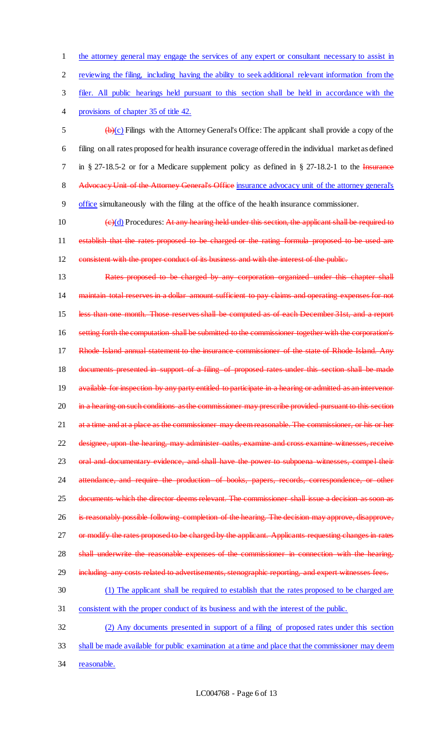the attorney general may engage the services of any expert or consultant necessary to assist in reviewing the filing, including having the ability to seek additional relevant information from the filer. All public hearings held pursuant to this section shall be held in accordance with the provisions of chapter 35 of title 42.  $\left(\frac{b}{c}\right)$  Filings with the Attorney General's Office: The applicant shall provide a copy of the filing on all rates proposed for health insurance coverage offered in the individual market as defined 7 in § 27-18.5-2 or for a Medicare supplement policy as defined in § 27-18.2-1 to the Insurance 8 Advocacy Unit of the Attorney General's Office insurance advocacy unit of the attorney general's office simultaneously with the filing at the office of the health insurance commissioner.  $(e)(d)$  Procedures: At any hearing held under this section, the applicant shall be required to 11 establish that the rates proposed to be charged or the rating formula proposed to be used are

12 consistent with the proper conduct of its business and with the interest of the public.

13 Rates proposed to be charged by any corporation organized under this chapter shall 14 maintain total reserves in a dollar amount sufficient to pay claims and operating expenses for not 15 less than one month. Those reserves shall be computed as of each December 31st, and a report 16 setting forth the computation shall be submitted to the commissioner together with the corporation's 17 Rhode Island annual statement to the insurance commissioner of the state of Rhode Island. Any 18 documents presented in support of a filing of proposed rates under this section shall be made 19 available for inspection by any party entitled to participate in a hearing or admitted as an intervenor 20 in a hearing on such conditions as the commissioner may prescribe provided pursuant to this section 21 at a time and at a place as the commissioner may deem reasonable. The commissioner, or his or her 22 designee, upon the hearing, may administer oaths, examine and cross examine witnesses, receive 23 oral and documentary evidence, and shall have the power to subpoena witnesses, compel their 24 attendance, and require the production of books, papers, records, correspondence, or other 25 documents which the director deems relevant. The commissioner shall issue a decision as soon as 26 is reasonably possible following completion of the hearing. The decision may approve, disapprove, 27 or modify the rates proposed to be charged by the applicant. Applicants requesting changes in rates 28 shall underwrite the reasonable expenses of the commissioner in connection with the hearing, 29 including any costs related to advertisements, stenographic reporting, and expert witnesses fees. 30 (1) The applicant shall be required to establish that the rates proposed to be charged are 31 consistent with the proper conduct of its business and with the interest of the public. 32 (2) Any documents presented in support of a filing of proposed rates under this section

- 33 shall be made available for public examination at a time and place that the commissioner may deem
- 34 reasonable.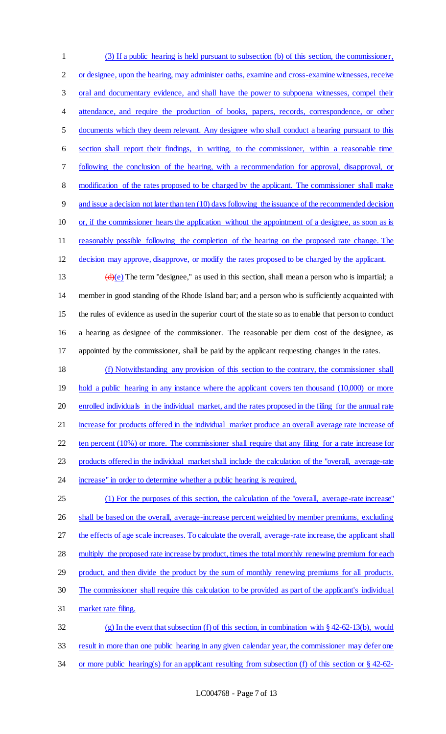(3) If a public hearing is held pursuant to subsection (b) of this section, the commissioner, 2 or designee, upon the hearing, may administer oaths, examine and cross-examine witnesses, receive 3 oral and documentary evidence, and shall have the power to subpoena witnesses, compel their 4 attendance, and require the production of books, papers, records, correspondence, or other documents which they deem relevant. Any designee who shall conduct a hearing pursuant to this section shall report their findings, in writing, to the commissioner, within a reasonable time following the conclusion of the hearing, with a recommendation for approval, disapproval, or 8 modification of the rates proposed to be charged by the applicant. The commissioner shall make and issue a decision not later than ten (10) days following the issuance of the recommended decision 10 or, if the commissioner hears the application without the appointment of a designee, as soon as is reasonably possible following the completion of the hearing on the proposed rate change. The decision may approve, disapprove, or modify the rates proposed to be charged by the applicant.  $(d)(e)$  The term "designee," as used in this section, shall mean a person who is impartial; a member in good standing of the Rhode Island bar; and a person who is sufficiently acquainted with the rules of evidence as used in the superior court of the state so as to enable that person to conduct a hearing as designee of the commissioner. The reasonable per diem cost of the designee, as

appointed by the commissioner, shall be paid by the applicant requesting changes in the rates.

 (f) Notwithstanding any provision of this section to the contrary, the commissioner shall 19 hold a public hearing in any instance where the applicant covers ten thousand (10,000) or more enrolled individuals in the individual market, and the rates proposed in the filing for the annual rate 21 increase for products offered in the individual market produce an overall average rate increase of ten percent (10%) or more. The commissioner shall require that any filing for a rate increase for products offered in the individual market shall include the calculation of the "overall, average-rate 24 increase" in order to determine whether a public hearing is required. (1) For the purposes of this section, the calculation of the "overall, average-rate increase"

26 shall be based on the overall, average-increase percent weighted by member premiums, excluding the effects of age scale increases. To calculate the overall, average-rate increase, the applicant shall 28 multiply the proposed rate increase by product, times the total monthly renewing premium for each product, and then divide the product by the sum of monthly renewing premiums for all products. The commissioner shall require this calculation to be provided as part of the applicant's individual market rate filing. (g) In the event that subsection (f) of this section, in combination with § 42-62-13(b), would

result in more than one public hearing in any given calendar year, the commissioner may defer one

or more public hearing(s) for an applicant resulting from subsection (f) of this section or § 42-62-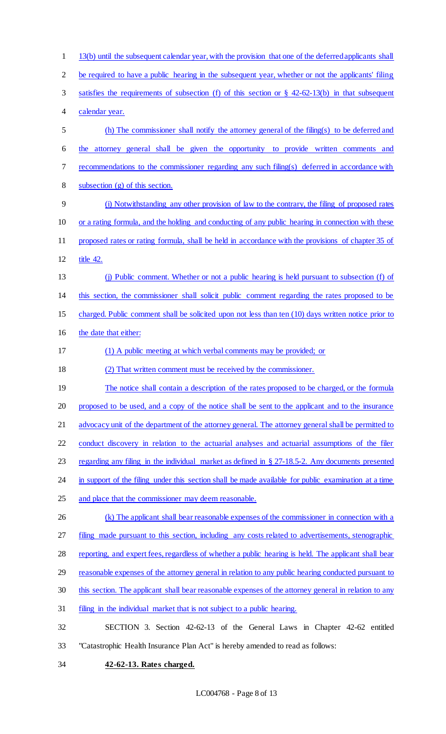13(b) until the subsequent calendar year, with the provision that one of the deferred applicants shall be required to have a public hearing in the subsequent year, whether or not the applicants' filing satisfies the requirements of subsection (f) of this section or § 42-62-13(b) in that subsequent calendar year. (h) The commissioner shall notify the attorney general of the filing(s) to be deferred and the attorney general shall be given the opportunity to provide written comments and recommendations to the commissioner regarding any such filing(s) deferred in accordance with subsection (g) of this section. (i) Notwithstanding any other provision of law to the contrary, the filing of proposed rates or a rating formula, and the holding and conducting of any public hearing in connection with these proposed rates or rating formula, shall be held in accordance with the provisions of chapter 35 of title 42. (j) Public comment. Whether or not a public hearing is held pursuant to subsection (f) of this section, the commissioner shall solicit public comment regarding the rates proposed to be charged. Public comment shall be solicited upon not less than ten (10) days written notice prior to 16 the date that either: (1) A public meeting at which verbal comments may be provided; or (2) That written comment must be received by the commissioner. 19 The notice shall contain a description of the rates proposed to be charged, or the formula proposed to be used, and a copy of the notice shall be sent to the applicant and to the insurance 21 advocacy unit of the department of the attorney general. The attorney general shall be permitted to conduct discovery in relation to the actuarial analyses and actuarial assumptions of the filer regarding any filing in the individual market as defined in § 27-18.5-2. Any documents presented 24 in support of the filing under this section shall be made available for public examination at a time and place that the commissioner may deem reasonable. 26 (k) The applicant shall bear reasonable expenses of the commissioner in connection with a filing made pursuant to this section, including any costs related to advertisements, stenographic 28 reporting, and expert fees, regardless of whether a public hearing is held. The applicant shall bear reasonable expenses of the attorney general in relation to any public hearing conducted pursuant to 30 this section. The applicant shall bear reasonable expenses of the attorney general in relation to any filing in the individual market that is not subject to a public hearing. SECTION 3. Section 42-62-13 of the General Laws in Chapter 42-62 entitled "Catastrophic Health Insurance Plan Act" is hereby amended to read as follows: **42-62-13. Rates charged.**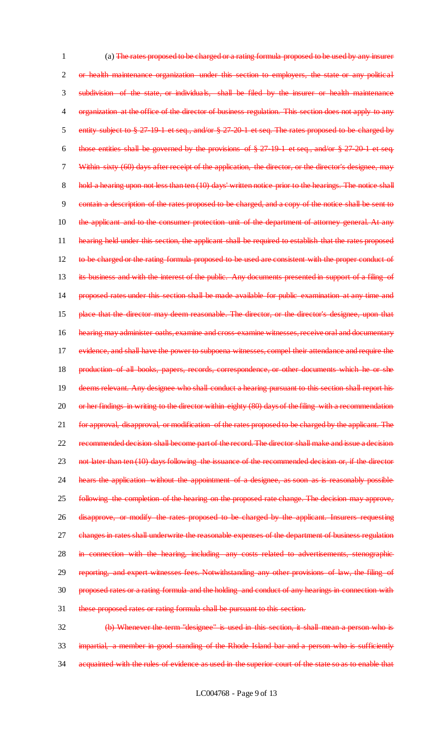1 (a) The rates proposed to be charged or a rating formula proposed to be used by any insurer 2 or health maintenance organization under this section to employers, the state or any political 3 subdivision of the state, or individuals, shall be filed by the insurer or health maintenance 4 organization at the office of the director of business regulation. This section does not apply to any 5 entity subject to § 27-19-1 et seq., and/or § 27-20-1 et seq. The rates proposed to be charged by 6 those entities shall be governed by the provisions of § 27-19-1 et seq., and/or § 27-20-1 et seq. 7 Within sixty (60) days after receipt of the application, the director, or the director's designee, may 8 hold a hearing upon not less than ten (10) days' written notice prior to the hearings. The notice shall 9 contain a description of the rates proposed to be charged, and a copy of the notice shall be sent to 10 the applicant and to the consumer protection unit of the department of attorney general. At any 11 hearing held under this section, the applicant shall be required to establish that the rates proposed 12 to be charged or the rating formula proposed to be used are consistent with the proper conduct of 13 its business and with the interest of the public. Any documents presented in support of a filing of 14 proposed rates under this section shall be made available for public examination at any time and 15 place that the director may deem reasonable. The director, or the director's designee, upon that 16 hearing may administer oaths, examine and cross-examine witnesses, receive oral and documentary 17 evidence, and shall have the power to subpoena witnesses, compel their attendance and require the 18 production of all books, papers, records, correspondence, or other documents which he or she 19 deems relevant. Any designee who shall conduct a hearing pursuant to this section shall report his 20 or her findings in writing to the director within eighty (80) days of the filing with a recommendation 21 for approval, disapproval, or modification of the rates proposed to be charged by the applicant. The 22 recommended decision shall become part of the record. The director shall make and issue a decision 23 not later than ten (10) days following the issuance of the recommended decision or, if the director 24 hears the application without the appointment of a designee, as soon as is reasonably possible 25 following the completion of the hearing on the proposed rate change. The decision may approve, 26 disapprove, or modify the rates proposed to be charged by the applicant. Insurers requesting 27 changes in rates shall underwrite the reasonable expenses of the department of business regulation 28 in connection with the hearing, including any costs related to advertisements, stenographic 29 reporting, and expert witnesses fees. Notwithstanding any other provisions of law, the filing of 30 proposed rates or a rating formula and the holding and conduct of any hearings in connection with 31 these proposed rates or rating formula shall be pursuant to this section. 32 (b) Whenever the term "designee" is used in this section, it shall mean a person who is

33 impartial, a member in good standing of the Rhode Island bar and a person who is sufficiently 34 acquainted with the rules of evidence as used in the superior court of the state so as to enable that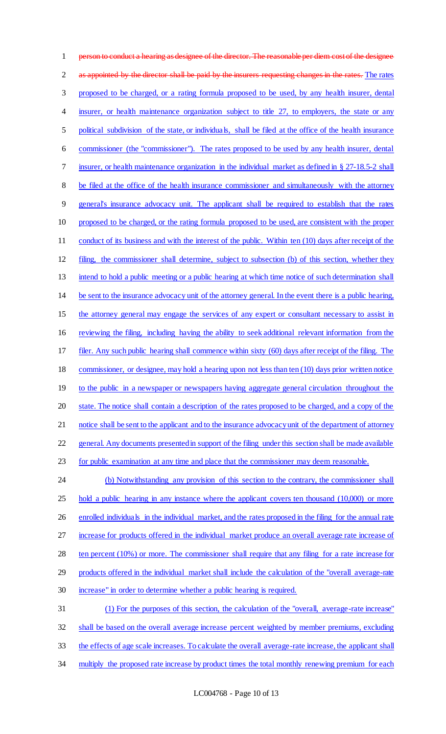1 person to conduct a hearing as designee of the director. The reasonable per diem cost of the designee 2 as appointed by the director shall be paid by the insurers requesting changes in the rates. The rates proposed to be charged, or a rating formula proposed to be used, by any health insurer, dental 4 insurer, or health maintenance organization subject to title 27, to employers, the state or any political subdivision of the state, or individuals, shall be filed at the office of the health insurance commissioner (the "commissioner"). The rates proposed to be used by any health insurer, dental insurer, or health maintenance organization in the individual market as defined in § 27-18.5-2 shall be filed at the office of the health insurance commissioner and simultaneously with the attorney general's insurance advocacy unit. The applicant shall be required to establish that the rates proposed to be charged, or the rating formula proposed to be used, are consistent with the proper 11 conduct of its business and with the interest of the public. Within ten (10) days after receipt of the filing, the commissioner shall determine, subject to subsection (b) of this section, whether they intend to hold a public meeting or a public hearing at which time notice of such determination shall be sent to the insurance advocacy unit of the attorney general. In the event there is a public hearing, 15 the attorney general may engage the services of any expert or consultant necessary to assist in reviewing the filing, including having the ability to seek additional relevant information from the filer. Any such public hearing shall commence within sixty (60) days after receipt of the filing. The commissioner, or designee, may hold a hearing upon not less than ten (10) days prior written notice to the public in a newspaper or newspapers having aggregate general circulation throughout the state. The notice shall contain a description of the rates proposed to be charged, and a copy of the 21 notice shall be sent to the applicant and to the insurance advocacy unit of the department of attorney general. Any documents presented in support of the filing under this section shall be made available 23 for public examination at any time and place that the commissioner may deem reasonable. 24 (b) Notwithstanding any provision of this section to the contrary, the commissioner shall 25 hold a public hearing in any instance where the applicant covers ten thousand (10,000) or more 26 enrolled individuals in the individual market, and the rates proposed in the filing for the annual rate increase for products offered in the individual market produce an overall average rate increase of 28 ten percent (10%) or more. The commissioner shall require that any filing for a rate increase for products offered in the individual market shall include the calculation of the "overall average-rate increase" in order to determine whether a public hearing is required. (1) For the purposes of this section, the calculation of the "overall, average-rate increase" shall be based on the overall average increase percent weighted by member premiums, excluding the effects of age scale increases. To calculate the overall average-rate increase, the applicant shall 34 multiply the proposed rate increase by product times the total monthly renewing premium for each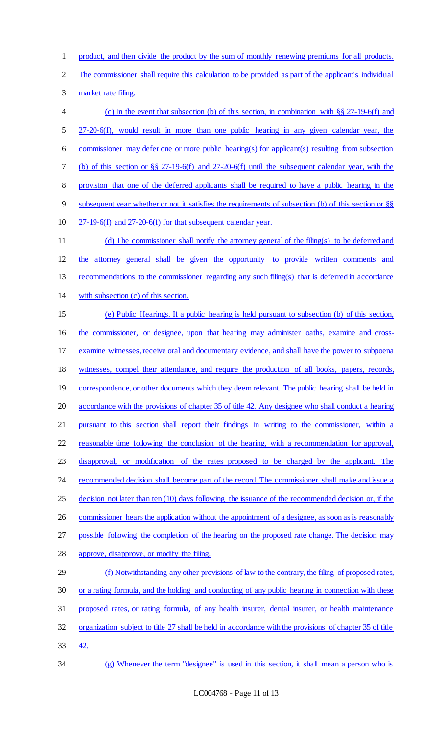product, and then divide the product by the sum of monthly renewing premiums for all products.

The commissioner shall require this calculation to be provided as part of the applicant's individual

market rate filing.

 (c) In the event that subsection (b) of this section, in combination with §§ 27-19-6(f) and 27-20-6(f), would result in more than one public hearing in any given calendar year, the commissioner may defer one or more public hearing(s) for applicant(s) resulting from subsection (b) of this section or §§ 27-19-6(f) and 27-20-6(f) until the subsequent calendar year, with the provision that one of the deferred applicants shall be required to have a public hearing in the subsequent year whether or not it satisfies the requirements of subsection (b) of this section or §§ 27-19-6(f) and 27-20-6(f) for that subsequent calendar year. 11 (d) The commissioner shall notify the attorney general of the filing(s) to be deferred and the attorney general shall be given the opportunity to provide written comments and recommendations to the commissioner regarding any such filing(s) that is deferred in accordance with subsection (c) of this section. (e) Public Hearings. If a public hearing is held pursuant to subsection (b) of this section, the commissioner, or designee, upon that hearing may administer oaths, examine and cross-examine witnesses, receive oral and documentary evidence, and shall have the power to subpoena

19 correspondence, or other documents which they deem relevant. The public hearing shall be held in

witnesses, compel their attendance, and require the production of all books, papers, records,

accordance with the provisions of chapter 35 of title 42. Any designee who shall conduct a hearing

21 pursuant to this section shall report their findings in writing to the commissioner, within a reasonable time following the conclusion of the hearing, with a recommendation for approval, disapproval, or modification of the rates proposed to be charged by the applicant. The

24 recommended decision shall become part of the record. The commissioner shall make and issue a

25 decision not later than ten (10) days following the issuance of the recommended decision or, if the

26 commissioner hears the application without the appointment of a designee, as soon as is reasonably

possible following the completion of the hearing on the proposed rate change. The decision may

approve, disapprove, or modify the filing.

 (f) Notwithstanding any other provisions of law to the contrary, the filing of proposed rates, or a rating formula, and the holding and conducting of any public hearing in connection with these proposed rates, or rating formula, of any health insurer, dental insurer, or health maintenance organization subject to title 27 shall be held in accordance with the provisions of chapter 35 of title

42.

(g) Whenever the term "designee" is used in this section, it shall mean a person who is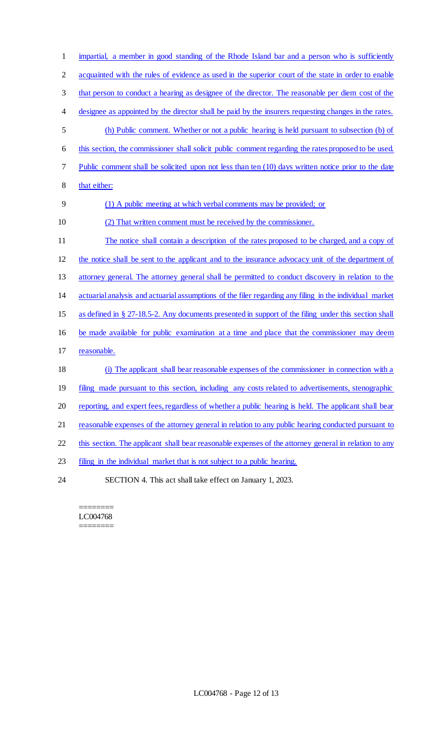impartial, a member in good standing of the Rhode Island bar and a person who is sufficiently 2 acquainted with the rules of evidence as used in the superior court of the state in order to enable that person to conduct a hearing as designee of the director. The reasonable per diem cost of the designee as appointed by the director shall be paid by the insurers requesting changes in the rates. (h) Public comment. Whether or not a public hearing is held pursuant to subsection (b) of this section, the commissioner shall solicit public comment regarding the rates proposed to be used. Public comment shall be solicited upon not less than ten (10) days written notice prior to the date 8 that either: (1) A public meeting at which verbal comments may be provided; or (2) That written comment must be received by the commissioner. The notice shall contain a description of the rates proposed to be charged, and a copy of the notice shall be sent to the applicant and to the insurance advocacy unit of the department of attorney general. The attorney general shall be permitted to conduct discovery in relation to the actuarial analysis and actuarial assumptions of the filer regarding any filing in the individual market as defined in § 27-18.5-2. Any documents presented in support of the filing under this section shall be made available for public examination at a time and place that the commissioner may deem reasonable. (i) The applicant shall bear reasonable expenses of the commissioner in connection with a 19 filing made pursuant to this section, including any costs related to advertisements, stenographic reporting, and expert fees, regardless of whether a public hearing is held. The applicant shall bear 21 reasonable expenses of the attorney general in relation to any public hearing conducted pursuant to 22 this section. The applicant shall bear reasonable expenses of the attorney general in relation to any 23 filing in the individual market that is not subject to a public hearing. SECTION 4. This act shall take effect on January 1, 2023.

======== LC004768 ========